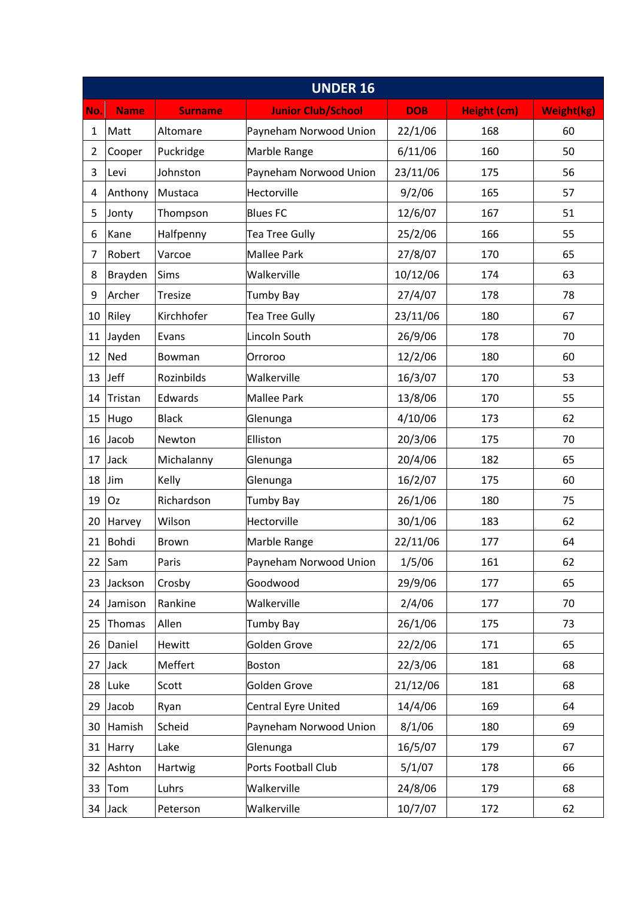| <b>UNDER 16</b> |             |                |                           |            |             |                   |  |  |  |
|-----------------|-------------|----------------|---------------------------|------------|-------------|-------------------|--|--|--|
| No.             | <b>Name</b> | <b>Surname</b> | <b>Junior Club/School</b> | <b>DOB</b> | Height (cm) | <b>Weight(kg)</b> |  |  |  |
| $\mathbf{1}$    | Matt        | Altomare       | Payneham Norwood Union    | 22/1/06    | 168         | 60                |  |  |  |
| $\overline{2}$  | Cooper      | Puckridge      | Marble Range              | 6/11/06    | 160         | 50                |  |  |  |
| 3               | Levi        | Johnston       | Payneham Norwood Union    | 23/11/06   | 175         | 56                |  |  |  |
| 4               | Anthony     | Mustaca        | Hectorville               | 9/2/06     | 165         | 57                |  |  |  |
| 5               | Jonty       | Thompson       | <b>Blues FC</b>           | 12/6/07    | 167         | 51                |  |  |  |
| 6               | Kane        | Halfpenny      | <b>Tea Tree Gully</b>     | 25/2/06    | 166         | 55                |  |  |  |
| 7               | Robert      | Varcoe         | <b>Mallee Park</b>        | 27/8/07    | 170         | 65                |  |  |  |
| 8               | Brayden     | Sims           | Walkerville               | 10/12/06   | 174         | 63                |  |  |  |
| 9               | Archer      | Tresize        | <b>Tumby Bay</b>          | 27/4/07    | 178         | 78                |  |  |  |
| 10              | Riley       | Kirchhofer     | <b>Tea Tree Gully</b>     | 23/11/06   | 180         | 67                |  |  |  |
| 11              | Jayden      | Evans          | Lincoln South             | 26/9/06    | 178         | 70                |  |  |  |
| 12              | Ned         | Bowman         | Orroroo                   | 12/2/06    | 180         | 60                |  |  |  |
|                 | $13$ Jeff   | Rozinbilds     | Walkerville               | 16/3/07    | 170         | 53                |  |  |  |
| 14              | Tristan     | Edwards        | <b>Mallee Park</b>        | 13/8/06    | 170         | 55                |  |  |  |
| 15              | Hugo        | <b>Black</b>   | Glenunga                  | 4/10/06    | 173         | 62                |  |  |  |
| 16              | Jacob       | Newton         | Elliston                  | 20/3/06    | 175         | 70                |  |  |  |
| 17              | Jack        | Michalanny     | Glenunga                  | 20/4/06    | 182         | 65                |  |  |  |
| 18              | Jim         | Kelly          | Glenunga                  | 16/2/07    | 175         | 60                |  |  |  |
| 19              | Oz          | Richardson     | <b>Tumby Bay</b>          | 26/1/06    | 180         | 75                |  |  |  |
| 20              | Harvey      | Wilson         | Hectorville               | 30/1/06    | 183         | 62                |  |  |  |
| 21              | Bohdi       | <b>Brown</b>   | Marble Range              | 22/11/06   | 177         | 64                |  |  |  |
| 22              | Sam         | Paris          | Payneham Norwood Union    | 1/5/06     | 161         | 62                |  |  |  |
| 23              | Jackson     | Crosby         | Goodwood                  | 29/9/06    | 177         | 65                |  |  |  |
|                 | 24 Jamison  | Rankine        | Walkerville               | 2/4/06     | 177         | 70                |  |  |  |
| 25              | Thomas      | Allen          | <b>Tumby Bay</b>          | 26/1/06    | 175         | 73                |  |  |  |
| 26              | Daniel      | Hewitt         | Golden Grove              | 22/2/06    | 171         | 65                |  |  |  |
|                 | $27$ Jack   | Meffert        | Boston                    | 22/3/06    | 181         | 68                |  |  |  |
|                 | 28 Luke     | Scott          | Golden Grove              | 21/12/06   | 181         | 68                |  |  |  |
|                 | 29 Jacob    | Ryan           | Central Eyre United       | 14/4/06    | 169         | 64                |  |  |  |
| 30              | Hamish      | Scheid         | Payneham Norwood Union    | 8/1/06     | 180         | 69                |  |  |  |
|                 | 31 Harry    | Lake           | Glenunga                  | 16/5/07    | 179         | 67                |  |  |  |
| 32              | Ashton      | Hartwig        | Ports Football Club       | 5/1/07     | 178         | 66                |  |  |  |
| 33              | Tom         | Luhrs          | Walkerville               | 24/8/06    | 179         | 68                |  |  |  |
|                 | 34 Jack     | Peterson       | Walkerville               | 10/7/07    | 172         | 62                |  |  |  |